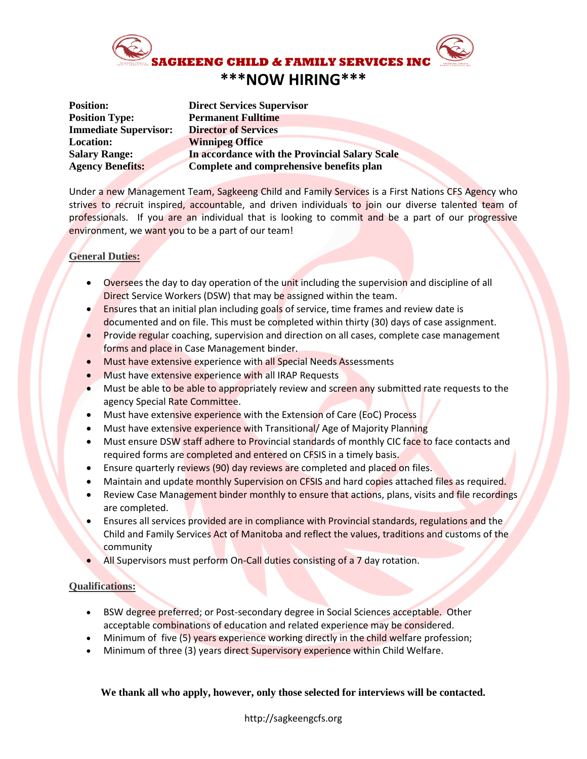

| <b>Position:</b>             | <b>Direct Services Supervisor</b>              |
|------------------------------|------------------------------------------------|
| <b>Position Type:</b>        | <b>Permanent Fulltime</b>                      |
| <b>Immediate Supervisor:</b> | <b>Director of Services</b>                    |
| <b>Location:</b>             | <b>Winnipeg Office</b>                         |
| <b>Salary Range:</b>         | In accordance with the Provincial Salary Scale |
| <b>Agency Benefits:</b>      | Complete and comprehensive benefits plan       |
|                              |                                                |

Under a new Management Team, Sagkeeng Child and Family Services is a First Nations CFS Agency who strives to recruit inspired, accountable, and driven individuals to join our diverse talented team of professionals. If you are an individual that is looking to commit and be a part of our progressive environment, we want you to be a part of our team!

## **General Duties:**

- Oversees the day to day operation of the unit including the supervision and discipline of all Direct Service Workers (DSW) that may be assigned within the team.
- Ensures that an initial plan including goals of service, time frames and review date is documented and on file. This must be completed within thirty (30) days of case assignment.
- Provide regular coaching, supervision and direction on all cases, complete case management forms and place in Case Management binder.
- Must have extensive experience with all Special Needs Assessments
- Must have extensive experience with all IRAP Requests
- Must be able to be able to appropriately review and screen any submitted rate requests to the agency Special Rate Committee.
- Must have extensive experience with the Extension of Care (EoC) Process
- Must have extensive experience with Transitional/ Age of Majority Planning
- Must ensure DSW staff adhere to Provincial standards of monthly CIC face to face contacts and required forms are completed and entered on CFSIS in a timely basis.
- Ensure quarterly reviews (90) day reviews are completed and placed on files.
- Maintain and update monthly Supervision on CFSIS and hard copies attached files as required.
- Review Case Management binder monthly to ensure that actions, plans, visits and file recordings are completed.
- Ensures all services provided are in compliance with Provincial standards, regulations and the Child and Family Services Act of Manitoba and reflect the values, traditions and customs of the community
- All Supervisors must perform On-Call duties consisting of a 7 day rotation.

## **Qualifications:**

- BSW degree preferred; or Post-secondary degree in Social Sciences acceptable. Other acceptable combinations of education and related experience may be considered.
- Minimum of five (5) years experience working directly in the child welfare profession;
- Minimum of three (3) years direct Supervisory experience within Child Welfare.

## **We thank all who apply, however, only those selected for interviews will be contacted.**